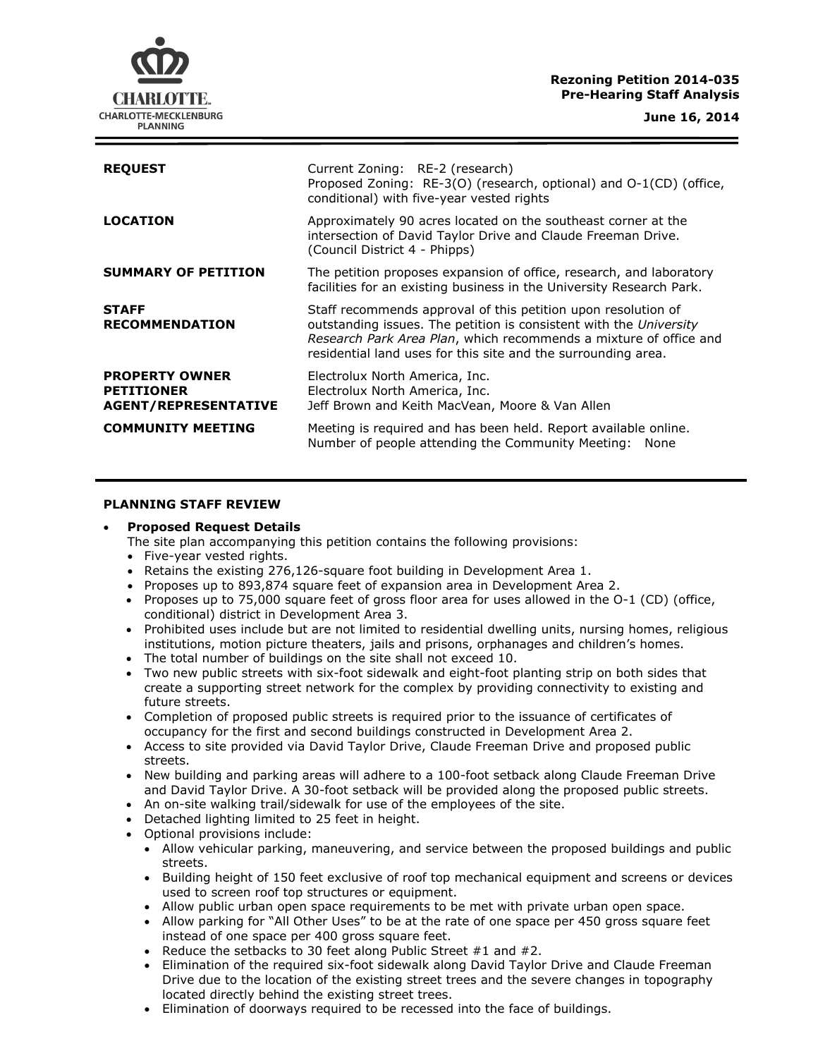## **Rezoning Petition 2014-035 Pre-Hearing Staff Analysis**

**June 16, 2014**



| <b>REQUEST</b>                                                            | Current Zoning: RE-2 (research)<br>Proposed Zoning: RE-3(O) (research, optional) and O-1(CD) (office,<br>conditional) with five-year vested rights                                                                                                                        |
|---------------------------------------------------------------------------|---------------------------------------------------------------------------------------------------------------------------------------------------------------------------------------------------------------------------------------------------------------------------|
| <b>LOCATION</b>                                                           | Approximately 90 acres located on the southeast corner at the<br>intersection of David Taylor Drive and Claude Freeman Drive.<br>(Council District 4 - Phipps)                                                                                                            |
| <b>SUMMARY OF PETITION</b>                                                | The petition proposes expansion of office, research, and laboratory<br>facilities for an existing business in the University Research Park.                                                                                                                               |
| <b>STAFF</b><br><b>RECOMMENDATION</b>                                     | Staff recommends approval of this petition upon resolution of<br>outstanding issues. The petition is consistent with the University<br>Research Park Area Plan, which recommends a mixture of office and<br>residential land uses for this site and the surrounding area. |
| <b>PROPERTY OWNER</b><br><b>PETITIONER</b><br><b>AGENT/REPRESENTATIVE</b> | Electrolux North America, Inc.<br>Electrolux North America, Inc.<br>Jeff Brown and Keith MacVean, Moore & Van Allen                                                                                                                                                       |
| <b>COMMUNITY MEETING</b>                                                  | Meeting is required and has been held. Report available online.<br>Number of people attending the Community Meeting:<br>None                                                                                                                                              |

## **PLANNING STAFF REVIEW**

### **Proposed Request Details**

- The site plan accompanying this petition contains the following provisions:
- Five-year vested rights.
- Retains the existing 276,126-square foot building in Development Area 1.
- Proposes up to 893,874 square feet of expansion area in Development Area 2.
- Proposes up to 75,000 square feet of gross floor area for uses allowed in the  $O-1$  (CD) (office, conditional) district in Development Area 3.
- Prohibited uses include but are not limited to residential dwelling units, nursing homes, religious institutions, motion picture theaters, jails and prisons, orphanages and children's homes.
- The total number of buildings on the site shall not exceed 10.
- Two new public streets with six-foot sidewalk and eight-foot planting strip on both sides that create a supporting street network for the complex by providing connectivity to existing and future streets.
- Completion of proposed public streets is required prior to the issuance of certificates of occupancy for the first and second buildings constructed in Development Area 2.
- Access to site provided via David Taylor Drive, Claude Freeman Drive and proposed public streets.
- New building and parking areas will adhere to a 100-foot setback along Claude Freeman Drive and David Taylor Drive. A 30-foot setback will be provided along the proposed public streets.
- An on-site walking trail/sidewalk for use of the employees of the site.
- Detached lighting limited to 25 feet in height.
- Optional provisions include:
	- Allow vehicular parking, maneuvering, and service between the proposed buildings and public streets.
	- Building height of 150 feet exclusive of roof top mechanical equipment and screens or devices used to screen roof top structures or equipment.
	- Allow public urban open space requirements to be met with private urban open space.
	- Allow parking for "All Other Uses" to be at the rate of one space per 450 gross square feet instead of one space per 400 gross square feet.
	- Reduce the setbacks to 30 feet along Public Street  $#1$  and  $#2$ .
	- Elimination of the required six-foot sidewalk along David Taylor Drive and Claude Freeman Drive due to the location of the existing street trees and the severe changes in topography located directly behind the existing street trees.
	- Elimination of doorways required to be recessed into the face of buildings.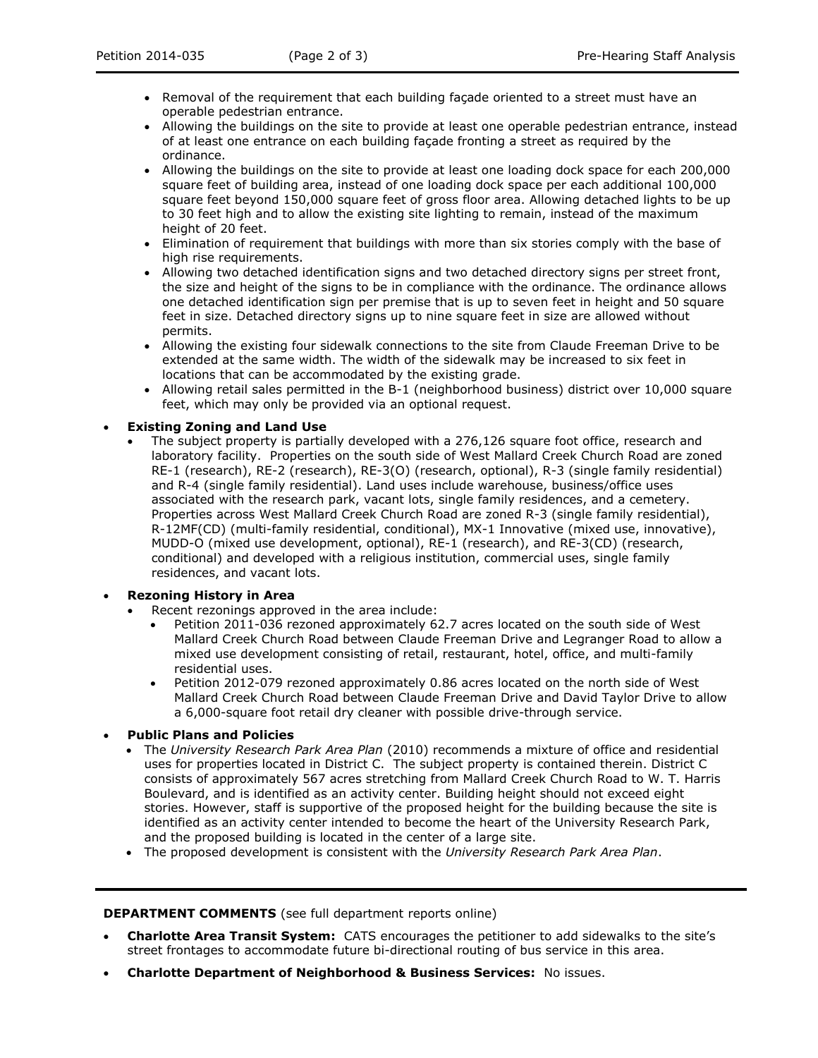- Removal of the requirement that each building facade oriented to a street must have an operable pedestrian entrance.
- Allowing the buildings on the site to provide at least one operable pedestrian entrance, instead of at least one entrance on each building façade fronting a street as required by the ordinance.
- Allowing the buildings on the site to provide at least one loading dock space for each 200,000 square feet of building area, instead of one loading dock space per each additional 100,000 square feet beyond 150,000 square feet of gross floor area. Allowing detached lights to be up to 30 feet high and to allow the existing site lighting to remain, instead of the maximum height of 20 feet.
- Elimination of requirement that buildings with more than six stories comply with the base of high rise requirements.
- Allowing two detached identification signs and two detached directory signs per street front, the size and height of the signs to be in compliance with the ordinance. The ordinance allows one detached identification sign per premise that is up to seven feet in height and 50 square feet in size. Detached directory signs up to nine square feet in size are allowed without permits.
- Allowing the existing four sidewalk connections to the site from Claude Freeman Drive to be extended at the same width. The width of the sidewalk may be increased to six feet in locations that can be accommodated by the existing grade.
- Allowing retail sales permitted in the B-1 (neighborhood business) district over 10,000 square feet, which may only be provided via an optional request.

## **Existing Zoning and Land Use**

 The subject property is partially developed with a 276,126 square foot office, research and laboratory facility. Properties on the south side of West Mallard Creek Church Road are zoned RE-1 (research), RE-2 (research), RE-3(O) (research, optional), R-3 (single family residential) and R-4 (single family residential). Land uses include warehouse, business/office uses associated with the research park, vacant lots, single family residences, and a cemetery. Properties across West Mallard Creek Church Road are zoned R-3 (single family residential), R-12MF(CD) (multi-family residential, conditional), MX-1 Innovative (mixed use, innovative), MUDD-O (mixed use development, optional), RE-1 (research), and RE-3(CD) (research, conditional) and developed with a religious institution, commercial uses, single family residences, and vacant lots.

# **Rezoning History in Area**

- Recent rezonings approved in the area include:
	- Petition 2011-036 rezoned approximately 62.7 acres located on the south side of West Mallard Creek Church Road between Claude Freeman Drive and Legranger Road to allow a mixed use development consisting of retail, restaurant, hotel, office, and multi-family residential uses.
	- Petition 2012-079 rezoned approximately 0.86 acres located on the north side of West Mallard Creek Church Road between Claude Freeman Drive and David Taylor Drive to allow a 6,000-square foot retail dry cleaner with possible drive-through service.

## **Public Plans and Policies**

- The *University Research Park Area Plan* (2010) recommends a mixture of office and residential uses for properties located in District C. The subject property is contained therein. District C consists of approximately 567 acres stretching from Mallard Creek Church Road to W. T. Harris Boulevard, and is identified as an activity center. Building height should not exceed eight stories. However, staff is supportive of the proposed height for the building because the site is identified as an activity center intended to become the heart of the University Research Park, and the proposed building is located in the center of a large site.
- The proposed development is consistent with the *University Research Park Area Plan*.

### **DEPARTMENT COMMENTS** (see full department reports online)

- **Charlotte Area Transit System:** CATS encourages the petitioner to add sidewalks to the site's street frontages to accommodate future bi-directional routing of bus service in this area.
- **Charlotte Department of Neighborhood & Business Services:** No issues.